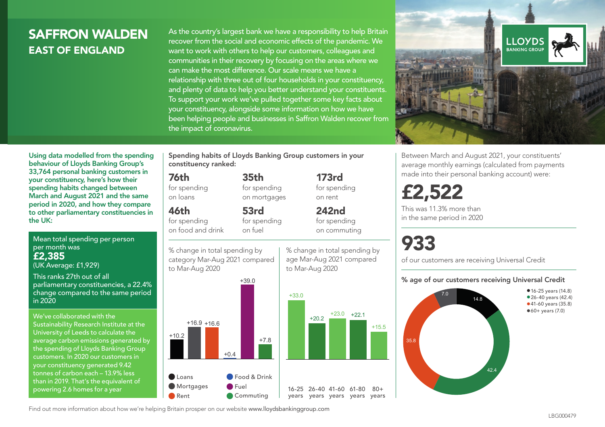# **SAFFRON WAI DEN** EAST OF ENGLAND

As the country's largest bank we have a responsibility to help Britain recover from the social and economic effects of the pandemic. We want to work with others to help our customers, colleagues and communities in their recovery by focusing on the areas where we can make the most difference. Our scale means we have a relationship with three out of four households in your constituency, and plenty of data to help you better understand your constituents. To support your work we've pulled together some key facts about your constituency, alongside some information on how we have been helping people and businesses in Saffron Walden recover from the impact of coronavirus.



Using data modelled from the spending behaviour of Lloyds Banking Group's 33,764 personal banking customers in your constituency, here's how their spending habits changed between March and August 2021 and the same period in 2020, and how they compare to other parliamentary constituencies in the UK:

Mean total spending per person per month was £2,385 (UK Average: £1,929)

This ranks 27th out of all parliamentary constituencies, a 22.4% change compared to the same period in 2020

We've collaborated with the Sustainability Research Institute at the University of Leeds to calculate the average carbon emissions generated by the spending of Lloyds Banking Group customers. In 2020 our customers in your constituency generated 9.42 tonnes of carbon each – 13.9% less than in 2019. That's the equivalent of powering 2.6 homes for a year

Spending habits of Lloyds Banking Group customers in your constituency ranked:

> 35th for spending on mortgages

53rd

#### 76th

for spending on loans

46th for spending

on food and drink for spending on fuel

% change in total spending by category Mar-Aug 2021 compared to Mar-Aug 2020



173rd for spending on rent

242nd for spending on commuting

% change in total spending by age Mar-Aug 2021 compared to Mar-Aug 2020



 $80 +$ 

Between March and August 2021, your constituents' average monthly earnings (calculated from payments made into their personal banking account) were:

# £2,522

This was 11.3% more than in the same period in 2020

# 933

of our customers are receiving Universal Credit

#### % age of our customers receiving Universal Credit



Find out more information about how we're helping Britain prosper on our website www.lloydsbankinggroup.com